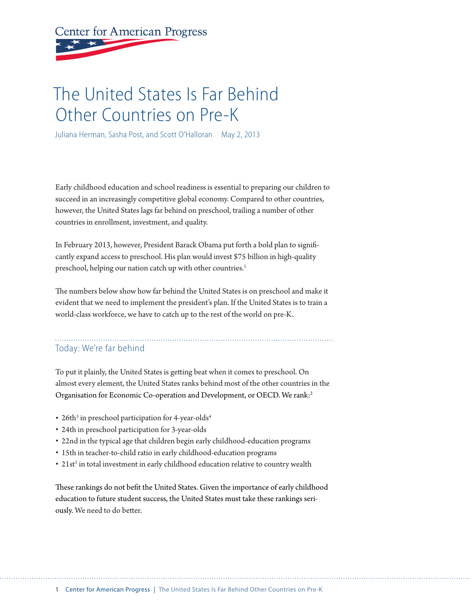# **Center for American Progress**

# The United States Is Far Behind Other Countries on Pre-K

Juliana Herman, Sasha Post, and Scott O'Halloran May 2, 2013

Early childhood education and school readiness is essential to preparing our children to succeed in an increasingly competitive global economy. Compared to other countries, however, the United States lags far behind on preschool, trailing a number of other countries in enrollment, investment, and quality.

In February 2013, however, President Barack Obama put forth a bold plan to significantly expand access to preschool. His plan would invest \$75 billion in high-quality preschool, helping our nation catch up with other countries.<sup>1</sup>

The numbers below show how far behind the United States is on preschool and make it evident that we need to implement the president's plan. If the United States is to train a world-class workforce, we have to catch up to the rest of the world on pre-K.

# Today: We're far behind

To put it plainly, the United States is getting beat when it comes to preschool. On almost every element, the United States ranks behind most of the other countries in the Organisation for Economic Co-operation and Development, or OECD. We rank:2

- $\cdot$  26th<sup>3</sup> in preschool participation for 4-year-olds<sup>4</sup>
- 24th in preschool participation for 3-year-olds
- 22nd in the typical age that children begin early childhood-education programs
- 15th in teacher-to-child ratio in early childhood-education programs
- $\cdot$  21st<sup>5</sup> in total investment in early childhood education relative to country wealth

These rankings do not befit the United States. Given the importance of early childhood education to future student success, the United States must take these rankings seriously. We need to do better.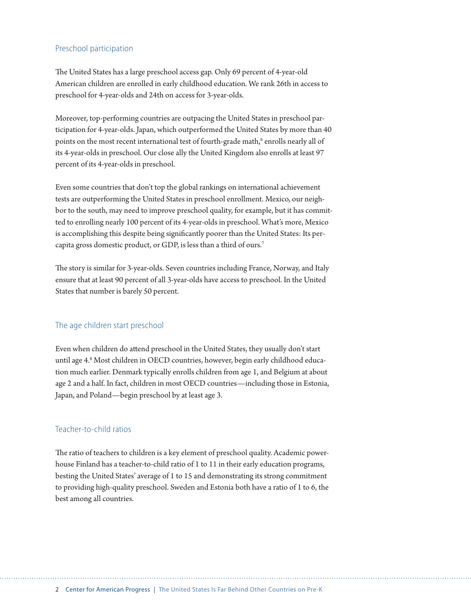#### Preschool participation

The United States has a large preschool access gap. Only 69 percent of 4-year-old American children are enrolled in early childhood education. We rank 26th in access to preschool for 4-year-olds and 24th on access for 3-year-olds.

Moreover, top-performing countries are outpacing the United States in preschool participation for 4-year-olds. Japan, which outperformed the United States by more than 40 points on the most recent international test of fourth-grade math,<sup>6</sup> enrolls nearly all of its 4-year-olds in preschool. Our close ally the United Kingdom also enrolls at least 97 percent of its 4-year-olds in preschool.

Even some countries that don't top the global rankings on international achievement tests are outperforming the United States in preschool enrollment. Mexico, our neighbor to the south, may need to improve preschool quality, for example, but it has committed to enrolling nearly 100 percent of its 4-year-olds in preschool. What's more, Mexico is accomplishing this despite being significantly poorer than the United States: Its percapita gross domestic product, or GDP, is less than a third of ours.7

The story is similar for 3-year-olds. Seven countries including France, Norway, and Italy ensure that at least 90 percent of all 3-year-olds have access to preschool. In the United States that number is barely 50 percent.

#### The age children start preschool

Even when children do attend preschool in the United States, they usually don't start until age 4.8 Most children in OECD countries, however, begin early childhood education much earlier. Denmark typically enrolls children from age 1, and Belgium at about age 2 and a half. In fact, children in most OECD countries—including those in Estonia, Japan, and Poland—begin preschool by at least age 3.

#### Teacher-to-child ratios

The ratio of teachers to children is a key element of preschool quality. Academic powerhouse Finland has a teacher-to-child ratio of 1 to 11 in their early education programs, besting the United States' average of 1 to 15 and demonstrating its strong commitment to providing high-quality preschool. Sweden and Estonia both have a ratio of 1 to 6, the best among all countries.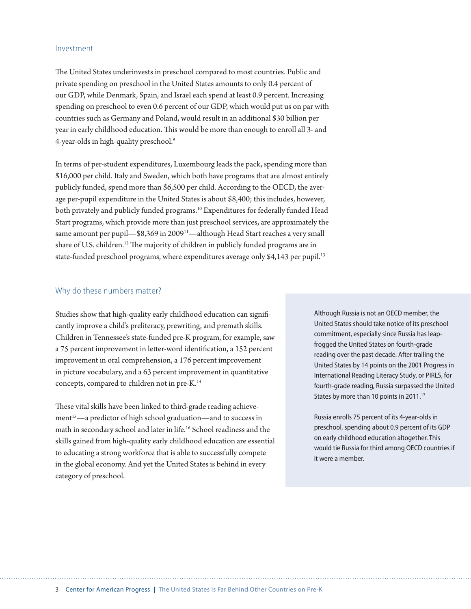#### Investment

The United States underinvests in preschool compared to most countries. Public and private spending on preschool in the United States amounts to only 0.4 percent of our GDP, while Denmark, Spain, and Israel each spend at least 0.9 percent. Increasing spending on preschool to even 0.6 percent of our GDP, which would put us on par with countries such as Germany and Poland, would result in an additional \$30 billion per year in early childhood education. This would be more than enough to enroll all 3- and 4-year-olds in high-quality preschool.9

In terms of per-student expenditures, Luxembourg leads the pack, spending more than \$16,000 per child. Italy and Sweden, which both have programs that are almost entirely publicly funded, spend more than \$6,500 per child. According to the OECD, the average per-pupil expenditure in the United States is about \$8,400; this includes, however, both privately and publicly funded programs.<sup>10</sup> Expenditures for federally funded Head Start programs, which provide more than just preschool services, are approximately the same amount per pupil—\$8,369 in 2009<sup>11</sup>—although Head Start reaches a very small share of U.S. children.<sup>12</sup> The majority of children in publicly funded programs are in state-funded preschool programs, where expenditures average only \$4,143 per pupil.<sup>13</sup>

#### Why do these numbers matter?

Studies show that high-quality early childhood education can significantly improve a child's preliteracy, prewriting, and premath skills. Children in Tennessee's state-funded pre-K program, for example, saw a 75 percent improvement in letter-word identification, a 152 percent improvement in oral comprehension, a 176 percent improvement in picture vocabulary, and a 63 percent improvement in quantitative concepts, compared to children not in pre-K.14

These vital skills have been linked to third-grade reading achievement<sup>15</sup>—a predictor of high school graduation—and to success in math in secondary school and later in life.16 School readiness and the skills gained from high-quality early childhood education are essential to educating a strong workforce that is able to successfully compete in the global economy. And yet the United States is behind in every category of preschool.

Although Russia is not an OECD member, the United States should take notice of its preschool commitment, especially since Russia has leapfrogged the United States on fourth-grade reading over the past decade. After trailing the United States by 14 points on the 2001 Progress in International Reading Literacy Study, or PIRLS, for fourth-grade reading, Russia surpassed the United States by more than 10 points in 2011.<sup>17</sup>

Russia enrolls 75 percent of its 4-year-olds in preschool, spending about 0.9 percent of its GDP on early childhood education altogether. This would tie Russia for third among OECD countries if it were a member.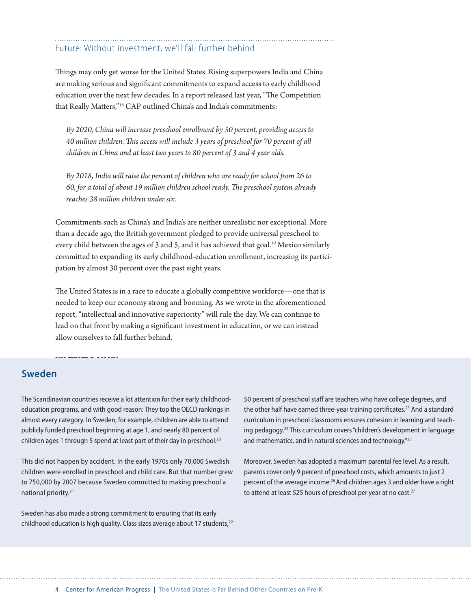# Future: Without investment, we'll fall further behind

Things may only get worse for the United States. Rising superpowers India and China are making serious and significant commitments to expand access to early childhood education over the next few decades. In a report released last year, "The Competition that Really Matters,"18 CAP outlined China's and India's commitments:

*By 2020, China will increase preschool enrollment by 50 percent, providing access to 40 million children. This access will include 3 years of preschool for 70 percent of all children in China and at least two years to 80 percent of 3 and 4 year olds.*

*By 2018, India will raise the percent of children who are ready for school from 26 to 60, for a total of about 19 million children school ready. The preschool system already reaches 38 million children under six.*

Commitments such as China's and India's are neither unrealistic nor exceptional. More than a decade ago, the British government pledged to provide universal preschool to every child between the ages of 3 and 5, and it has achieved that goal.<sup>19</sup> Mexico similarly committed to expanding its early childhood-education enrollment, increasing its participation by almost 30 percent over the past eight years.

The United States is in a race to educate a globally competitive workforce—one that is needed to keep our economy strong and booming. As we wrote in the aforementioned report, "intellectual and innovative superiority" will rule the day. We can continue to lead on that front by making a significant investment in education, or we can instead allow ourselves to fall further behind.

## **Sweden**

The Scandinavian countries receive a lot attention for their early childhoodeducation programs, and with good reason: They top the OECD rankings in almost every category. In Sweden, for example, children are able to attend publicly funded preschool beginning at age 1, and nearly 80 percent of children ages 1 through 5 spend at least part of their day in preschool.<sup>20</sup>

This did not happen by accident. In the early 1970s only 70,000 Swedish children were enrolled in preschool and child care. But that number grew to 750,000 by 2007 because Sweden committed to making preschool a national priority.<sup>21</sup>

Sweden has also made a strong commitment to ensuring that its early childhood education is high quality. Class sizes average about 17 students,<sup>22</sup> 50 percent of preschool staff are teachers who have college degrees, and the other half have earned three-year training certificates.<sup>23</sup> And a standard curriculum in preschool classrooms ensures cohesion in learning and teaching pedagogy.<sup>24</sup> This curriculum covers "children's development in language and mathematics, and in natural sciences and technology."<sup>25</sup>

Moreover, Sweden has adopted a maximum parental fee level. As a result, parents cover only 9 percent of preschool costs, which amounts to just 2 percent of the average income.<sup>26</sup> And children ages 3 and older have a right to attend at least 525 hours of preschool per year at no cost.<sup>27</sup>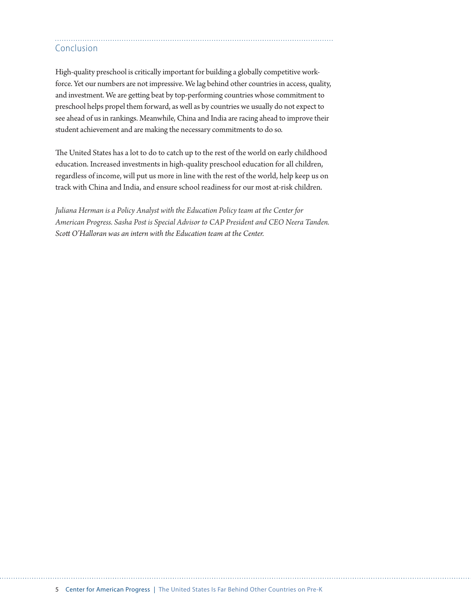### Conclusion

High-quality preschool is critically important for building a globally competitive workforce. Yet our numbers are not impressive. We lag behind other countries in access, quality, and investment. We are getting beat by top-performing countries whose commitment to preschool helps propel them forward, as well as by countries we usually do not expect to see ahead of us in rankings. Meanwhile, China and India are racing ahead to improve their student achievement and are making the necessary commitments to do so.

The United States has a lot to do to catch up to the rest of the world on early childhood education. Increased investments in high-quality preschool education for all children, regardless of income, will put us more in line with the rest of the world, help keep us on track with China and India, and ensure school readiness for our most at-risk children.

*Juliana Herman is a Policy Analyst with the Education Policy team at the Center for American Progress. Sasha Post is Special Advisor to CAP President and CEO Neera Tanden. Scott O'Halloran was an intern with the Education team at the Center.*